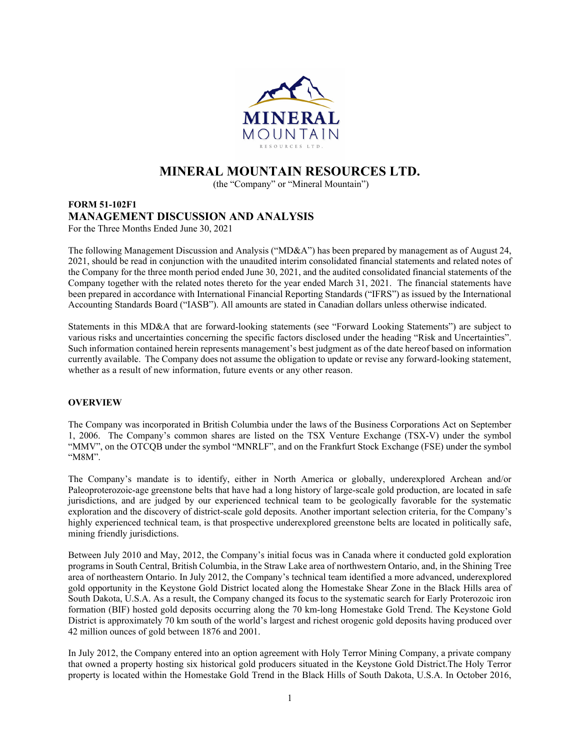

# **MINERAL MOUNTAIN RESOURCES LTD.**

(the "Company" or "Mineral Mountain")

## **FORM 51-102F1 MANAGEMENT DISCUSSION AND ANALYSIS**  For the Three Months Ended June 30, 2021

The following Management Discussion and Analysis ("MD&A") has been prepared by management as of August 24, 2021, should be read in conjunction with the unaudited interim consolidated financial statements and related notes of the Company for the three month period ended June 30, 2021, and the audited consolidated financial statements of the Company together with the related notes thereto for the year ended March 31, 2021. The financial statements have been prepared in accordance with International Financial Reporting Standards ("IFRS") as issued by the International Accounting Standards Board ("IASB"). All amounts are stated in Canadian dollars unless otherwise indicated.

Statements in this MD&A that are forward-looking statements (see "Forward Looking Statements") are subject to various risks and uncertainties concerning the specific factors disclosed under the heading "Risk and Uncertainties". Such information contained herein represents management's best judgment as of the date hereof based on information currently available. The Company does not assume the obligation to update or revise any forward-looking statement, whether as a result of new information, future events or any other reason.

# **OVERVIEW**

The Company was incorporated in British Columbia under the laws of the Business Corporations Act on September 1, 2006. The Company's common shares are listed on the TSX Venture Exchange (TSX-V) under the symbol "MMV", on the OTCQB under the symbol "MNRLF", and on the Frankfurt Stock Exchange (FSE) under the symbol "M8M".

The Company's mandate is to identify, either in North America or globally, underexplored Archean and/or Paleoproterozoic-age greenstone belts that have had a long history of large-scale gold production, are located in safe jurisdictions, and are judged by our experienced technical team to be geologically favorable for the systematic exploration and the discovery of district-scale gold deposits. Another important selection criteria, for the Company's highly experienced technical team, is that prospective underexplored greenstone belts are located in politically safe, mining friendly jurisdictions.

Between July 2010 and May, 2012, the Company's initial focus was in Canada where it conducted gold exploration programs in South Central, British Columbia, in the Straw Lake area of northwestern Ontario, and, in the Shining Tree area of northeastern Ontario. In July 2012, the Company's technical team identified a more advanced, underexplored gold opportunity in the Keystone Gold District located along the Homestake Shear Zone in the Black Hills area of South Dakota, U.S.A. As a result, the Company changed its focus to the systematic search for Early Proterozoic iron formation (BIF) hosted gold deposits occurring along the 70 km-long Homestake Gold Trend. The Keystone Gold District is approximately 70 km south of the world's largest and richest orogenic gold deposits having produced over 42 million ounces of gold between 1876 and 2001.

In July 2012, the Company entered into an option agreement with Holy Terror Mining Company, a private company that owned a property hosting six historical gold producers situated in the Keystone Gold District.The Holy Terror property is located within the Homestake Gold Trend in the Black Hills of South Dakota, U.S.A. In October 2016,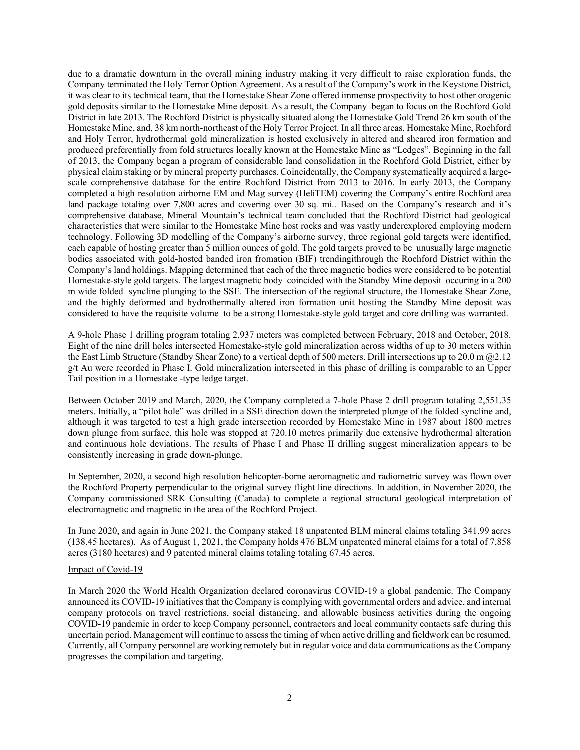due to a dramatic downturn in the overall mining industry making it very difficult to raise exploration funds, the Company terminated the Holy Terror Option Agreement. As a result of the Company's work in the Keystone District, it was clear to its technical team, that the Homestake Shear Zone offered immense prospectivity to host other orogenic gold deposits similar to the Homestake Mine deposit. As a result, the Company began to focus on the Rochford Gold District in late 2013. The Rochford District is physically situated along the Homestake Gold Trend 26 km south of the Homestake Mine, and, 38 km north-northeast of the Holy Terror Project. In all three areas, Homestake Mine, Rochford and Holy Terror, hydrothermal gold mineralization is hosted exclusively in altered and sheared iron formation and produced preferentially from fold structures locally known at the Homestake Mine as "Ledges". Beginning in the fall of 2013, the Company began a program of considerable land consolidation in the Rochford Gold District, either by physical claim staking or by mineral property purchases. Coincidentally, the Company systematically acquired a largescale comprehensive database for the entire Rochford District from 2013 to 2016. In early 2013, the Company completed a high resolution airborne EM and Mag survey (HeliTEM) covering the Company's entire Rochford area land package totaling over 7,800 acres and covering over 30 sq. mi.. Based on the Company's research and it's comprehensive database, Mineral Mountain's technical team concluded that the Rochford District had geological characteristics that were similar to the Homestake Mine host rocks and was vastly underexplored employing modern technology. Following 3D modelling of the Company's airborne survey, three regional gold targets were identified, each capable of hosting greater than 5 million ounces of gold. The gold targets proved to be unusually large magnetic bodies associated with gold-hosted banded iron fromation (BIF) trendingithrough the Rochford District within the Company's land holdings. Mapping determined that each of the three magnetic bodies were considered to be potential Homestake-style gold targets. The largest magnetic body coincided with the Standby Mine deposit occuring in a 200 m wide folded syncline plunging to the SSE. The intersection of the regional structure, the Homestake Shear Zone, and the highly deformed and hydrothermally altered iron formation unit hosting the Standby Mine deposit was considered to have the requisite volume to be a strong Homestake-style gold target and core drilling was warranted.

A 9-hole Phase 1 drilling program totaling 2,937 meters was completed between February, 2018 and October, 2018. Eight of the nine drill holes intersected Homestake-style gold mineralization across widths of up to 30 meters within the East Limb Structure (Standby Shear Zone) to a vertical depth of 500 meters. Drill intersections up to 20.0 m @2.12 g/t Au were recorded in Phase I. Gold mineralization intersected in this phase of drilling is comparable to an Upper Tail position in a Homestake -type ledge target.

Between October 2019 and March, 2020, the Company completed a 7-hole Phase 2 drill program totaling 2,551.35 meters. Initially, a "pilot hole" was drilled in a SSE direction down the interpreted plunge of the folded syncline and, although it was targeted to test a high grade intersection recorded by Homestake Mine in 1987 about 1800 metres down plunge from surface, this hole was stopped at 720.10 metres primarily due extensive hydrothermal alteration and continuous hole deviations. The results of Phase I and Phase II drilling suggest mineralization appears to be consistently increasing in grade down-plunge.

In September, 2020, a second high resolution helicopter-borne aeromagnetic and radiometric survey was flown over the Rochford Property perpendicular to the original survey flight line directions. In addition, in November 2020, the Company commissioned SRK Consulting (Canada) to complete a regional structural geological interpretation of electromagnetic and magnetic in the area of the Rochford Project.

In June 2020, and again in June 2021, the Company staked 18 unpatented BLM mineral claims totaling 341.99 acres (138.45 hectares). As of August 1, 2021, the Company holds 476 BLM unpatented mineral claims for a total of 7,858 acres (3180 hectares) and 9 patented mineral claims totaling totaling 67.45 acres.

#### Impact of Covid-19

In March 2020 the World Health Organization declared coronavirus COVID-19 a global pandemic. The Company announced its COVID-19 initiatives that the Company is complying with governmental orders and advice, and internal company protocols on travel restrictions, social distancing, and allowable business activities during the ongoing COVID-19 pandemic in order to keep Company personnel, contractors and local community contacts safe during this uncertain period. Management will continue to assess the timing of when active drilling and fieldwork can be resumed. Currently, all Company personnel are working remotely but in regular voice and data communications as the Company progresses the compilation and targeting.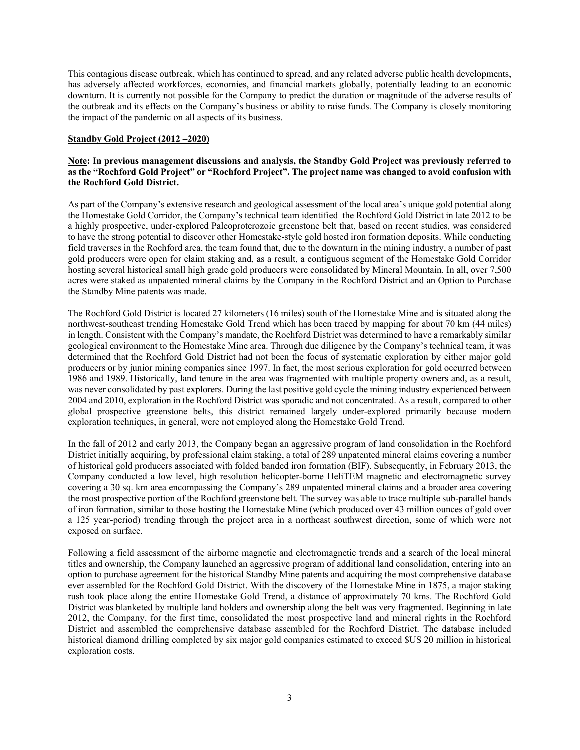This contagious disease outbreak, which has continued to spread, and any related adverse public health developments, has adversely affected workforces, economies, and financial markets globally, potentially leading to an economic downturn. It is currently not possible for the Company to predict the duration or magnitude of the adverse results of the outbreak and its effects on the Company's business or ability to raise funds. The Company is closely monitoring the impact of the pandemic on all aspects of its business.

#### **Standby Gold Project (2012 –2020)**

## **Note: In previous management discussions and analysis, the Standby Gold Project was previously referred to as the "Rochford Gold Project" or "Rochford Project". The project name was changed to avoid confusion with the Rochford Gold District.**

As part of the Company's extensive research and geological assessment of the local area's unique gold potential along the Homestake Gold Corridor, the Company's technical team identified the Rochford Gold District in late 2012 to be a highly prospective, under-explored Paleoproterozoic greenstone belt that, based on recent studies, was considered to have the strong potential to discover other Homestake-style gold hosted iron formation deposits. While conducting field traverses in the Rochford area, the team found that, due to the downturn in the mining industry, a number of past gold producers were open for claim staking and, as a result, a contiguous segment of the Homestake Gold Corridor hosting several historical small high grade gold producers were consolidated by Mineral Mountain. In all, over 7,500 acres were staked as unpatented mineral claims by the Company in the Rochford District and an Option to Purchase the Standby Mine patents was made.

The Rochford Gold District is located 27 kilometers (16 miles) south of the Homestake Mine and is situated along the northwest-southeast trending Homestake Gold Trend which has been traced by mapping for about 70 km (44 miles) in length. Consistent with the Company's mandate, the Rochford District was determined to have a remarkably similar geological environment to the Homestake Mine area. Through due diligence by the Company's technical team, it was determined that the Rochford Gold District had not been the focus of systematic exploration by either major gold producers or by junior mining companies since 1997. In fact, the most serious exploration for gold occurred between 1986 and 1989. Historically, land tenure in the area was fragmented with multiple property owners and, as a result, was never consolidated by past explorers. During the last positive gold cycle the mining industry experienced between 2004 and 2010, exploration in the Rochford District was sporadic and not concentrated. As a result, compared to other global prospective greenstone belts, this district remained largely under-explored primarily because modern exploration techniques, in general, were not employed along the Homestake Gold Trend.

In the fall of 2012 and early 2013, the Company began an aggressive program of land consolidation in the Rochford District initially acquiring, by professional claim staking, a total of 289 unpatented mineral claims covering a number of historical gold producers associated with folded banded iron formation (BIF). Subsequently, in February 2013, the Company conducted a low level, high resolution helicopter-borne HeliTEM magnetic and electromagnetic survey covering a 30 sq. km area encompassing the Company's 289 unpatented mineral claims and a broader area covering the most prospective portion of the Rochford greenstone belt. The survey was able to trace multiple sub-parallel bands of iron formation, similar to those hosting the Homestake Mine (which produced over 43 million ounces of gold over a 125 year-period) trending through the project area in a northeast southwest direction, some of which were not exposed on surface.

Following a field assessment of the airborne magnetic and electromagnetic trends and a search of the local mineral titles and ownership, the Company launched an aggressive program of additional land consolidation, entering into an option to purchase agreement for the historical Standby Mine patents and acquiring the most comprehensive database ever assembled for the Rochford Gold District. With the discovery of the Homestake Mine in 1875, a major staking rush took place along the entire Homestake Gold Trend, a distance of approximately 70 kms. The Rochford Gold District was blanketed by multiple land holders and ownership along the belt was very fragmented. Beginning in late 2012, the Company, for the first time, consolidated the most prospective land and mineral rights in the Rochford District and assembled the comprehensive database assembled for the Rochford District. The database included historical diamond drilling completed by six major gold companies estimated to exceed \$US 20 million in historical exploration costs.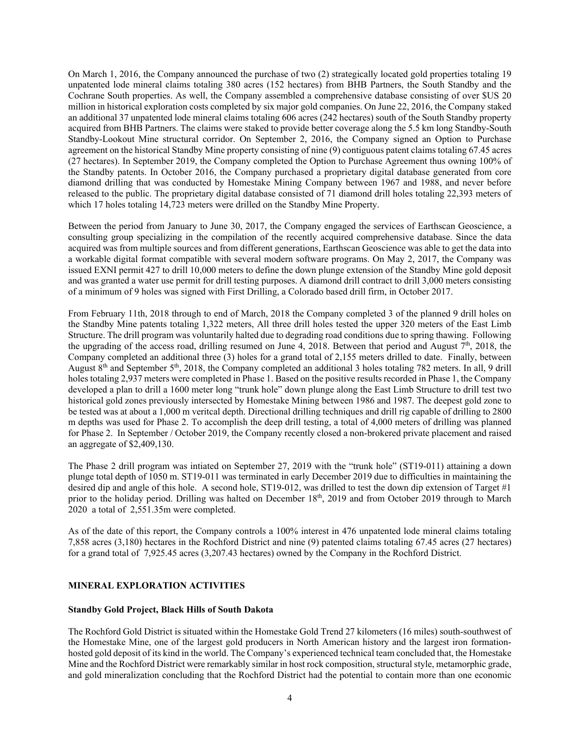On March 1, 2016, the Company announced the purchase of two (2) strategically located gold properties totaling 19 unpatented lode mineral claims totaling 380 acres (152 hectares) from BHB Partners, the South Standby and the Cochrane South properties. As well, the Company assembled a comprehensive database consisting of over \$US 20 million in historical exploration costs completed by six major gold companies. On June 22, 2016, the Company staked an additional 37 unpatented lode mineral claims totaling 606 acres (242 hectares) south of the South Standby property acquired from BHB Partners. The claims were staked to provide better coverage along the 5.5 km long Standby-South Standby-Lookout Mine structural corridor. On September 2, 2016, the Company signed an Option to Purchase agreement on the historical Standby Mine property consisting of nine (9) contiguous patent claims totaling 67.45 acres (27 hectares). In September 2019, the Company completed the Option to Purchase Agreement thus owning 100% of the Standby patents. In October 2016, the Company purchased a proprietary digital database generated from core diamond drilling that was conducted by Homestake Mining Company between 1967 and 1988, and never before released to the public. The proprietary digital database consisted of 71 diamond drill holes totaling 22,393 meters of which 17 holes totaling 14,723 meters were drilled on the Standby Mine Property.

Between the period from January to June 30, 2017, the Company engaged the services of Earthscan Geoscience, a consulting group specializing in the compilation of the recently acquired comprehensive database. Since the data acquired was from multiple sources and from different generations, Earthscan Geoscience was able to get the data into a workable digital format compatible with several modern software programs. On May 2, 2017, the Company was issued EXNI permit 427 to drill 10,000 meters to define the down plunge extension of the Standby Mine gold deposit and was granted a water use permit for drill testing purposes. A diamond drill contract to drill 3,000 meters consisting of a minimum of 9 holes was signed with First Drilling, a Colorado based drill firm, in October 2017.

From February 11th, 2018 through to end of March, 2018 the Company completed 3 of the planned 9 drill holes on the Standby Mine patents totaling 1,322 meters, All three drill holes tested the upper 320 meters of the East Limb Structure. The drill program was voluntarily halted due to degrading road conditions due to spring thawing. Following the upgrading of the access road, drilling resumed on June 4, 2018. Between that period and August  $7<sup>th</sup>$ , 2018, the Company completed an additional three (3) holes for a grand total of 2,155 meters drilled to date. Finally, between August  $8<sup>th</sup>$  and September 5<sup>th</sup>, 2018, the Company completed an additional 3 holes totaling 782 meters. In all, 9 drill holes totaling 2,937 meters were completed in Phase 1. Based on the positive results recorded in Phase 1, the Company developed a plan to drill a 1600 meter long "trunk hole" down plunge along the East Limb Structure to drill test two historical gold zones previously intersected by Homestake Mining between 1986 and 1987. The deepest gold zone to be tested was at about a 1,000 m veritcal depth. Directional drilling techniques and drill rig capable of drilling to 2800 m depths was used for Phase 2. To accomplish the deep drill testing, a total of 4,000 meters of drilling was planned for Phase 2. In September / October 2019, the Company recently closed a non-brokered private placement and raised an aggregate of \$2,409,130.

The Phase 2 drill program was intiated on September 27, 2019 with the "trunk hole" (ST19-011) attaining a down plunge total depth of 1050 m. ST19-011 was terminated in early December 2019 due to difficulties in maintaining the desired dip and angle of this hole. A second hole, ST19-012, was drilled to test the down dip extension of Target #1 prior to the holiday period. Drilling was halted on December 18th, 2019 and from October 2019 through to March 2020 a total of 2,551.35m were completed.

As of the date of this report, the Company controls a 100% interest in 476 unpatented lode mineral claims totaling 7,858 acres (3,180) hectares in the Rochford District and nine (9) patented claims totaling 67.45 acres (27 hectares) for a grand total of 7,925.45 acres (3,207.43 hectares) owned by the Company in the Rochford District.

# **MINERAL EXPLORATION ACTIVITIES**

## **Standby Gold Project, Black Hills of South Dakota**

The Rochford Gold District is situated within the Homestake Gold Trend 27 kilometers (16 miles) south-southwest of the Homestake Mine, one of the largest gold producers in North American history and the largest iron formationhosted gold deposit of its kind in the world. The Company's experienced technical team concluded that, the Homestake Mine and the Rochford District were remarkably similar in host rock composition, structural style, metamorphic grade, and gold mineralization concluding that the Rochford District had the potential to contain more than one economic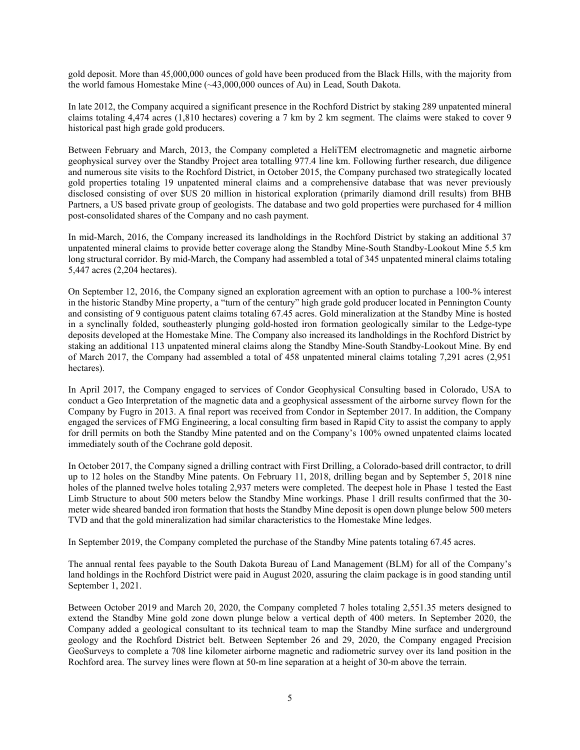gold deposit. More than 45,000,000 ounces of gold have been produced from the Black Hills, with the majority from the world famous Homestake Mine (~43,000,000 ounces of Au) in Lead, South Dakota.

In late 2012, the Company acquired a significant presence in the Rochford District by staking 289 unpatented mineral claims totaling 4,474 acres (1,810 hectares) covering a 7 km by 2 km segment. The claims were staked to cover 9 historical past high grade gold producers.

Between February and March, 2013, the Company completed a HeliTEM electromagnetic and magnetic airborne geophysical survey over the Standby Project area totalling 977.4 line km. Following further research, due diligence and numerous site visits to the Rochford District, in October 2015, the Company purchased two strategically located gold properties totaling 19 unpatented mineral claims and a comprehensive database that was never previously disclosed consisting of over \$US 20 million in historical exploration (primarily diamond drill results) from BHB Partners, a US based private group of geologists. The database and two gold properties were purchased for 4 million post-consolidated shares of the Company and no cash payment.

In mid-March, 2016, the Company increased its landholdings in the Rochford District by staking an additional 37 unpatented mineral claims to provide better coverage along the Standby Mine-South Standby-Lookout Mine 5.5 km long structural corridor. By mid-March, the Company had assembled a total of 345 unpatented mineral claims totaling 5,447 acres (2,204 hectares).

On September 12, 2016, the Company signed an exploration agreement with an option to purchase a 100-% interest in the historic Standby Mine property, a "turn of the century" high grade gold producer located in Pennington County and consisting of 9 contiguous patent claims totaling 67.45 acres. Gold mineralization at the Standby Mine is hosted in a synclinally folded, southeasterly plunging gold-hosted iron formation geologically similar to the Ledge-type deposits developed at the Homestake Mine. The Company also increased its landholdings in the Rochford District by staking an additional 113 unpatented mineral claims along the Standby Mine-South Standby-Lookout Mine. By end of March 2017, the Company had assembled a total of 458 unpatented mineral claims totaling 7,291 acres (2,951 hectares).

In April 2017, the Company engaged to services of Condor Geophysical Consulting based in Colorado, USA to conduct a Geo Interpretation of the magnetic data and a geophysical assessment of the airborne survey flown for the Company by Fugro in 2013. A final report was received from Condor in September 2017. In addition, the Company engaged the services of FMG Engineering, a local consulting firm based in Rapid City to assist the company to apply for drill permits on both the Standby Mine patented and on the Company's 100% owned unpatented claims located immediately south of the Cochrane gold deposit.

In October 2017, the Company signed a drilling contract with First Drilling, a Colorado-based drill contractor, to drill up to 12 holes on the Standby Mine patents. On February 11, 2018, drilling began and by September 5, 2018 nine holes of the planned twelve holes totaling 2,937 meters were completed. The deepest hole in Phase 1 tested the East Limb Structure to about 500 meters below the Standby Mine workings. Phase 1 drill results confirmed that the 30 meter wide sheared banded iron formation that hosts the Standby Mine deposit is open down plunge below 500 meters TVD and that the gold mineralization had similar characteristics to the Homestake Mine ledges.

In September 2019, the Company completed the purchase of the Standby Mine patents totaling 67.45 acres.

The annual rental fees payable to the South Dakota Bureau of Land Management (BLM) for all of the Company's land holdings in the Rochford District were paid in August 2020, assuring the claim package is in good standing until September 1, 2021.

Between October 2019 and March 20, 2020, the Company completed 7 holes totaling 2,551.35 meters designed to extend the Standby Mine gold zone down plunge below a vertical depth of 400 meters. In September 2020, the Company added a geological consultant to its technical team to map the Standby Mine surface and underground geology and the Rochford District belt. Between September 26 and 29, 2020, the Company engaged Precision GeoSurveys to complete a 708 line kilometer airborne magnetic and radiometric survey over its land position in the Rochford area. The survey lines were flown at 50-m line separation at a height of 30-m above the terrain.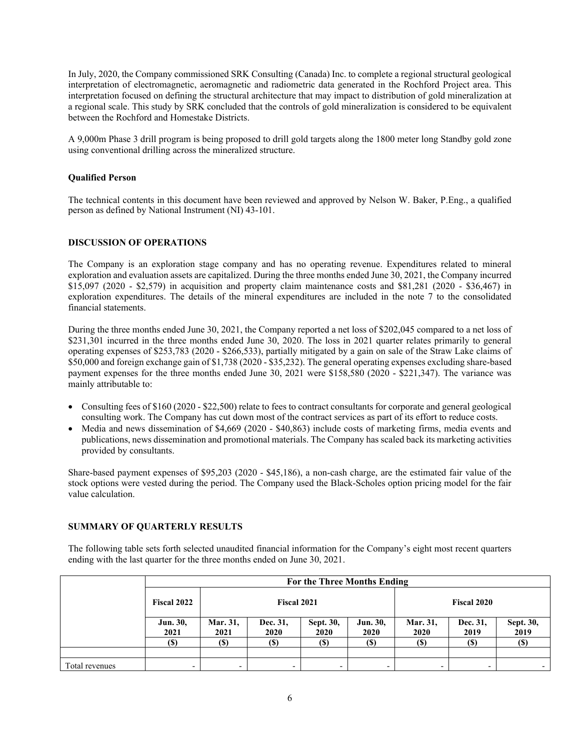In July, 2020, the Company commissioned SRK Consulting (Canada) Inc. to complete a regional structural geological interpretation of electromagnetic, aeromagnetic and radiometric data generated in the Rochford Project area. This interpretation focused on defining the structural architecture that may impact to distribution of gold mineralization at a regional scale. This study by SRK concluded that the controls of gold mineralization is considered to be equivalent between the Rochford and Homestake Districts.

A 9,000m Phase 3 drill program is being proposed to drill gold targets along the 1800 meter long Standby gold zone using conventional drilling across the mineralized structure.

## **Qualified Person**

The technical contents in this document have been reviewed and approved by Nelson W. Baker, P.Eng., a qualified person as defined by National Instrument (NI) 43-101.

#### **DISCUSSION OF OPERATIONS**

The Company is an exploration stage company and has no operating revenue. Expenditures related to mineral exploration and evaluation assets are capitalized. During the three months ended June 30, 2021, the Company incurred \$15,097 (2020 - \$2,579) in acquisition and property claim maintenance costs and \$81,281 (2020 - \$36,467) in exploration expenditures. The details of the mineral expenditures are included in the note 7 to the consolidated financial statements.

During the three months ended June 30, 2021, the Company reported a net loss of \$202,045 compared to a net loss of \$231,301 incurred in the three months ended June 30, 2020. The loss in 2021 quarter relates primarily to general operating expenses of \$253,783 (2020 - \$266,533), partially mitigated by a gain on sale of the Straw Lake claims of \$50,000 and foreign exchange gain of \$1,738 (2020 - \$35,232). The general operating expenses excluding share-based payment expenses for the three months ended June 30, 2021 were \$158,580 (2020 - \$221,347). The variance was mainly attributable to:

- Consulting fees of \$160 (2020 \$22,500) relate to fees to contract consultants for corporate and general geological consulting work. The Company has cut down most of the contract services as part of its effort to reduce costs.
- Media and news dissemination of \$4,669 (2020 \$40,863) include costs of marketing firms, media events and publications, news dissemination and promotional materials. The Company has scaled back its marketing activities provided by consultants.

Share-based payment expenses of \$95,203 (2020 - \$45,186), a non-cash charge, are the estimated fair value of the stock options were vested during the period. The Company used the Black-Scholes option pricing model for the fair value calculation.

#### **SUMMARY OF QUARTERLY RESULTS**

The following table sets forth selected unaudited financial information for the Company's eight most recent quarters ending with the last quarter for the three months ended on June 30, 2021.

|                | For the Three Months Ending |                  |                  |                   |                  |                         |                  |                   |
|----------------|-----------------------------|------------------|------------------|-------------------|------------------|-------------------------|------------------|-------------------|
|                | <b>Fiscal 2022</b>          | Fiscal 2021      |                  |                   |                  | <b>Fiscal 2020</b>      |                  |                   |
|                | Jun. 30,<br>2021            | Mar. 31,<br>2021 | Dec. 31,<br>2020 | Sept. 30,<br>2020 | Jun. 30,<br>2020 | Mar. 31,<br><b>2020</b> | Dec. 31,<br>2019 | Sept. 30,<br>2019 |
|                | (\$)                        | <b>(\$)</b>      | (\$)             | <b>(\$)</b>       | <b>(\$)</b>      | (S)                     | <b>(\$)</b>      | (\$)              |
|                |                             |                  |                  |                   |                  |                         |                  |                   |
| Total revenues | ٠                           |                  |                  |                   |                  |                         |                  |                   |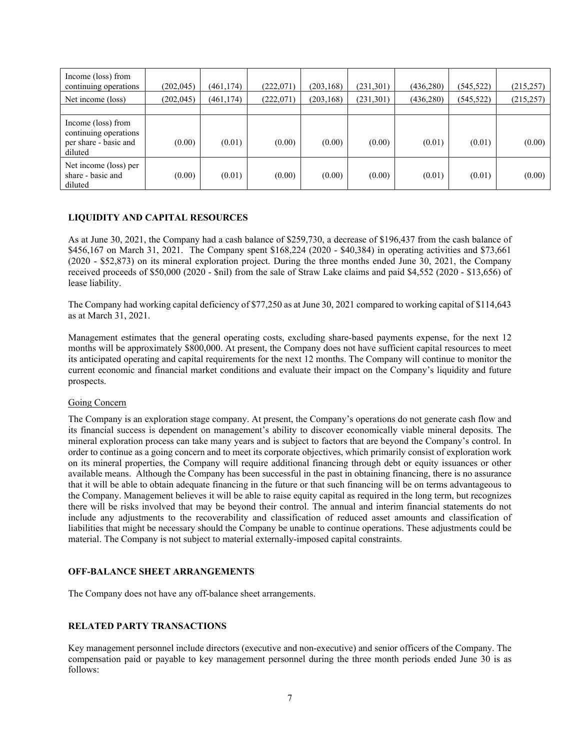| Income (loss) from<br>continuing operations                                     | (202, 045) | (461, 174) | (222,071) | (203, 168) | (231,301) | (436, 280) | (545, 522) | (215, 257) |
|---------------------------------------------------------------------------------|------------|------------|-----------|------------|-----------|------------|------------|------------|
| Net income (loss)                                                               | (202, 045) | (461, 174) | (222,071) | (203, 168) | (231,301) | (436, 280) | (545, 522) | (215, 257) |
|                                                                                 |            |            |           |            |           |            |            |            |
| Income (loss) from<br>continuing operations<br>per share - basic and<br>diluted | (0.00)     | (0.01)     | (0.00)    | (0.00)     | (0.00)    | (0.01)     | (0.01)     | (0.00)     |
| Net income (loss) per<br>share - basic and<br>diluted                           | (0.00)     | (0.01)     | (0.00)    | (0.00)     | (0.00)    | (0.01)     | (0.01)     | (0.00)     |

#### **LIQUIDITY AND CAPITAL RESOURCES**

As at June 30, 2021, the Company had a cash balance of \$259,730, a decrease of \$196,437 from the cash balance of \$456,167 on March 31, 2021. The Company spent \$168,224 (2020 - \$40,384) in operating activities and \$73,661 (2020 - \$52,873) on its mineral exploration project. During the three months ended June 30, 2021, the Company received proceeds of \$50,000 (2020 - \$nil) from the sale of Straw Lake claims and paid \$4,552 (2020 - \$13,656) of lease liability.

The Company had working capital deficiency of \$77,250 as at June 30, 2021 compared to working capital of \$114,643 as at March 31, 2021.

Management estimates that the general operating costs, excluding share-based payments expense, for the next 12 months will be approximately \$800,000. At present, the Company does not have sufficient capital resources to meet its anticipated operating and capital requirements for the next 12 months. The Company will continue to monitor the current economic and financial market conditions and evaluate their impact on the Company's liquidity and future prospects.

#### Going Concern

The Company is an exploration stage company. At present, the Company's operations do not generate cash flow and its financial success is dependent on management's ability to discover economically viable mineral deposits. The mineral exploration process can take many years and is subject to factors that are beyond the Company's control. In order to continue as a going concern and to meet its corporate objectives, which primarily consist of exploration work on its mineral properties, the Company will require additional financing through debt or equity issuances or other available means. Although the Company has been successful in the past in obtaining financing, there is no assurance that it will be able to obtain adequate financing in the future or that such financing will be on terms advantageous to the Company. Management believes it will be able to raise equity capital as required in the long term, but recognizes there will be risks involved that may be beyond their control. The annual and interim financial statements do not include any adjustments to the recoverability and classification of reduced asset amounts and classification of liabilities that might be necessary should the Company be unable to continue operations. These adjustments could be material. The Company is not subject to material externally-imposed capital constraints.

#### **OFF-BALANCE SHEET ARRANGEMENTS**

The Company does not have any off-balance sheet arrangements.

#### **RELATED PARTY TRANSACTIONS**

Key management personnel include directors (executive and non-executive) and senior officers of the Company. The compensation paid or payable to key management personnel during the three month periods ended June 30 is as follows: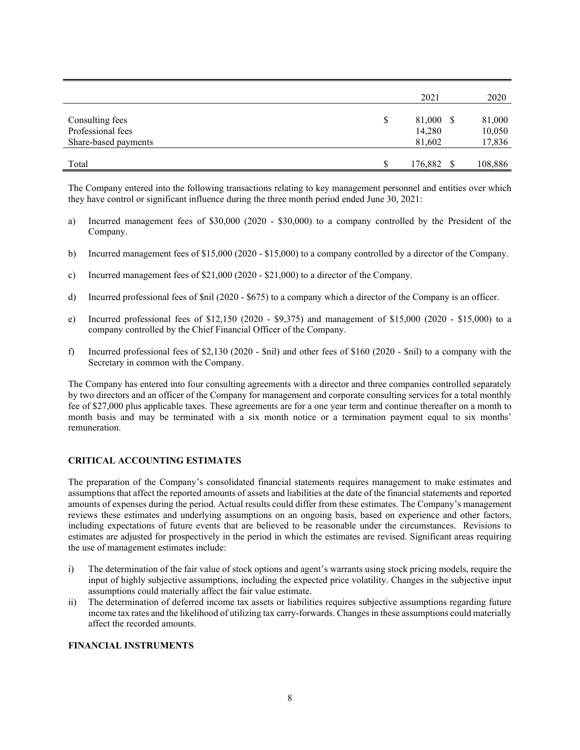|                                                              |   | 2021                          | 2020                       |
|--------------------------------------------------------------|---|-------------------------------|----------------------------|
| Consulting fees<br>Professional fees<br>Share-based payments | S | 81,000 \$<br>14,280<br>81,602 | 81,000<br>10,050<br>17,836 |
| Total                                                        | S | 176,882 \$                    | 108,886                    |

The Company entered into the following transactions relating to key management personnel and entities over which they have control or significant influence during the three month period ended June 30, 2021:

- a) Incurred management fees of \$30,000 (2020 \$30,000) to a company controlled by the President of the Company.
- b) Incurred management fees of \$15,000 (2020 \$15,000) to a company controlled by a director of the Company.
- c) Incurred management fees of \$21,000 (2020 \$21,000) to a director of the Company.
- d) Incurred professional fees of \$nil (2020 \$675) to a company which a director of the Company is an officer.
- e) Incurred professional fees of \$12,150 (2020 \$9,375) and management of \$15,000 (2020 \$15,000) to a company controlled by the Chief Financial Officer of the Company.
- f) Incurred professional fees of \$2,130 (2020 \$nil) and other fees of \$160 (2020 \$nil) to a company with the Secretary in common with the Company.

The Company has entered into four consulting agreements with a director and three companies controlled separately by two directors and an officer of the Company for management and corporate consulting services for a total monthly fee of \$27,000 plus applicable taxes. These agreements are for a one year term and continue thereafter on a month to month basis and may be terminated with a six month notice or a termination payment equal to six months' remuneration.

## **CRITICAL ACCOUNTING ESTIMATES**

The preparation of the Company's consolidated financial statements requires management to make estimates and assumptions that affect the reported amounts of assets and liabilities at the date of the financial statements and reported amounts of expenses during the period. Actual results could differ from these estimates. The Company's management reviews these estimates and underlying assumptions on an ongoing basis, based on experience and other factors, including expectations of future events that are believed to be reasonable under the circumstances. Revisions to estimates are adjusted for prospectively in the period in which the estimates are revised. Significant areas requiring the use of management estimates include:

- i) The determination of the fair value of stock options and agent's warrants using stock pricing models, require the input of highly subjective assumptions, including the expected price volatility. Changes in the subjective input assumptions could materially affect the fair value estimate.
- ii) The determination of deferred income tax assets or liabilities requires subjective assumptions regarding future income tax rates and the likelihood of utilizing tax carry-forwards. Changes in these assumptions could materially affect the recorded amounts.

#### **FINANCIAL INSTRUMENTS**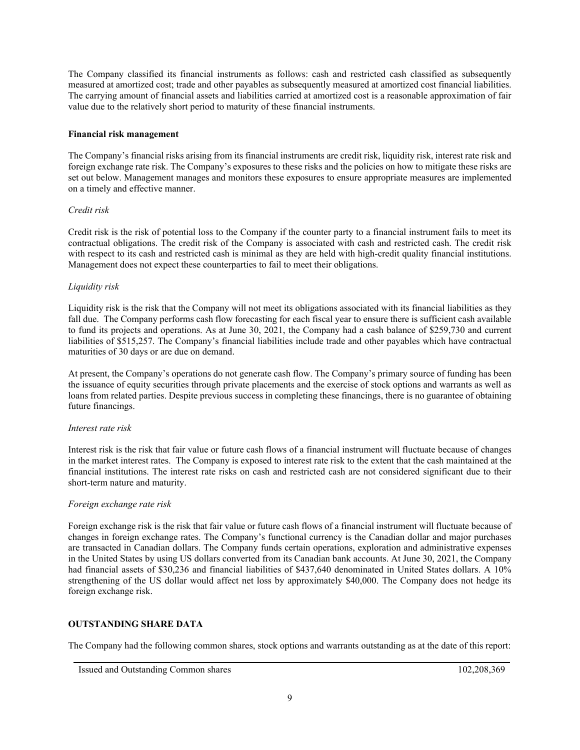The Company classified its financial instruments as follows: cash and restricted cash classified as subsequently measured at amortized cost; trade and other payables as subsequently measured at amortized cost financial liabilities. The carrying amount of financial assets and liabilities carried at amortized cost is a reasonable approximation of fair value due to the relatively short period to maturity of these financial instruments.

## **Financial risk management**

The Company's financial risks arising from its financial instruments are credit risk, liquidity risk, interest rate risk and foreign exchange rate risk. The Company's exposures to these risks and the policies on how to mitigate these risks are set out below. Management manages and monitors these exposures to ensure appropriate measures are implemented on a timely and effective manner.

#### *Credit risk*

Credit risk is the risk of potential loss to the Company if the counter party to a financial instrument fails to meet its contractual obligations. The credit risk of the Company is associated with cash and restricted cash. The credit risk with respect to its cash and restricted cash is minimal as they are held with high-credit quality financial institutions. Management does not expect these counterparties to fail to meet their obligations.

## *Liquidity risk*

Liquidity risk is the risk that the Company will not meet its obligations associated with its financial liabilities as they fall due. The Company performs cash flow forecasting for each fiscal year to ensure there is sufficient cash available to fund its projects and operations. As at June 30, 2021, the Company had a cash balance of \$259,730 and current liabilities of \$515,257. The Company's financial liabilities include trade and other payables which have contractual maturities of 30 days or are due on demand.

At present, the Company's operations do not generate cash flow. The Company's primary source of funding has been the issuance of equity securities through private placements and the exercise of stock options and warrants as well as loans from related parties. Despite previous success in completing these financings, there is no guarantee of obtaining future financings.

#### *Interest rate risk*

Interest risk is the risk that fair value or future cash flows of a financial instrument will fluctuate because of changes in the market interest rates. The Company is exposed to interest rate risk to the extent that the cash maintained at the financial institutions. The interest rate risks on cash and restricted cash are not considered significant due to their short-term nature and maturity.

#### *Foreign exchange rate risk*

Foreign exchange risk is the risk that fair value or future cash flows of a financial instrument will fluctuate because of changes in foreign exchange rates. The Company's functional currency is the Canadian dollar and major purchases are transacted in Canadian dollars. The Company funds certain operations, exploration and administrative expenses in the United States by using US dollars converted from its Canadian bank accounts. At June 30, 2021, the Company had financial assets of \$30,236 and financial liabilities of \$437,640 denominated in United States dollars. A 10% strengthening of the US dollar would affect net loss by approximately \$40,000. The Company does not hedge its foreign exchange risk.

## **OUTSTANDING SHARE DATA**

The Company had the following common shares, stock options and warrants outstanding as at the date of this report: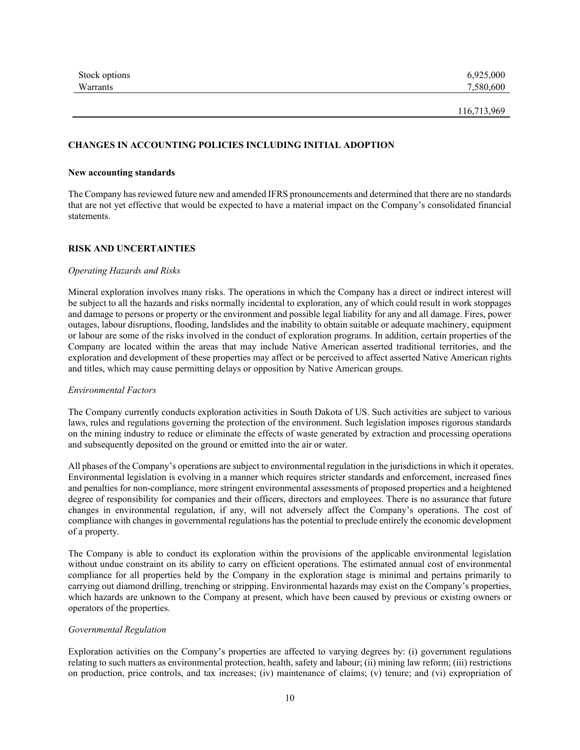| Stock options | 6,925,000 |
|---------------|-----------|
| Warrants      | 7.580,600 |

#### **CHANGES IN ACCOUNTING POLICIES INCLUDING INITIAL ADOPTION**

#### **New accounting standards**

The Company has reviewed future new and amended IFRS pronouncements and determined that there are no standards that are not yet effective that would be expected to have a material impact on the Company's consolidated financial statements.

#### **RISK AND UNCERTAINTIES**

#### *Operating Hazards and Risks*

Mineral exploration involves many risks. The operations in which the Company has a direct or indirect interest will be subject to all the hazards and risks normally incidental to exploration, any of which could result in work stoppages and damage to persons or property or the environment and possible legal liability for any and all damage. Fires, power outages, labour disruptions, flooding, landslides and the inability to obtain suitable or adequate machinery, equipment or labour are some of the risks involved in the conduct of exploration programs. In addition, certain properties of the Company are located within the areas that may include Native American asserted traditional territories, and the exploration and development of these properties may affect or be perceived to affect asserted Native American rights and titles, which may cause permitting delays or opposition by Native American groups.

#### *Environmental Factors*

The Company currently conducts exploration activities in South Dakota of US. Such activities are subject to various laws, rules and regulations governing the protection of the environment. Such legislation imposes rigorous standards on the mining industry to reduce or eliminate the effects of waste generated by extraction and processing operations and subsequently deposited on the ground or emitted into the air or water.

All phases of the Company's operations are subject to environmental regulation in the jurisdictions in which it operates. Environmental legislation is evolving in a manner which requires stricter standards and enforcement, increased fines and penalties for non-compliance, more stringent environmental assessments of proposed properties and a heightened degree of responsibility for companies and their officers, directors and employees. There is no assurance that future changes in environmental regulation, if any, will not adversely affect the Company's operations. The cost of compliance with changes in governmental regulations has the potential to preclude entirely the economic development of a property.

The Company is able to conduct its exploration within the provisions of the applicable environmental legislation without undue constraint on its ability to carry on efficient operations. The estimated annual cost of environmental compliance for all properties held by the Company in the exploration stage is minimal and pertains primarily to carrying out diamond drilling, trenching or stripping. Environmental hazards may exist on the Company's properties, which hazards are unknown to the Company at present, which have been caused by previous or existing owners or operators of the properties.

#### *Governmental Regulation*

Exploration activities on the Company's properties are affected to varying degrees by: (i) government regulations relating to such matters as environmental protection, health, safety and labour; (ii) mining law reform; (iii) restrictions on production, price controls, and tax increases; (iv) maintenance of claims; (v) tenure; and (vi) expropriation of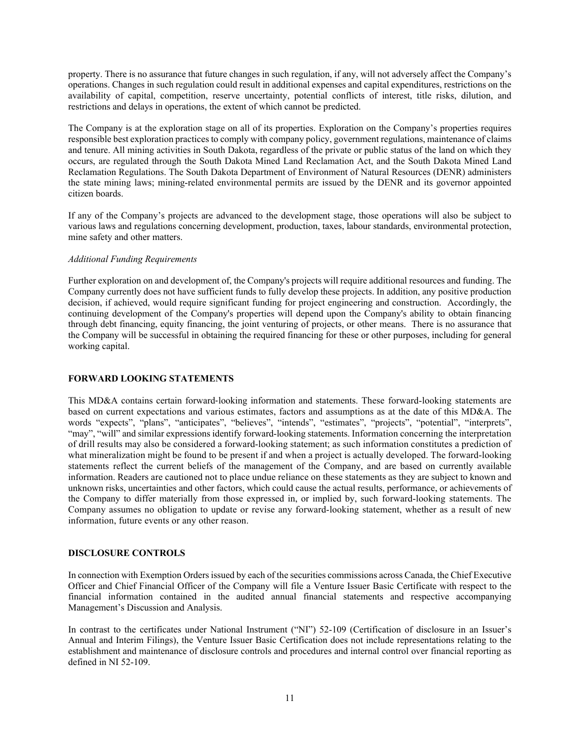property. There is no assurance that future changes in such regulation, if any, will not adversely affect the Company's operations. Changes in such regulation could result in additional expenses and capital expenditures, restrictions on the availability of capital, competition, reserve uncertainty, potential conflicts of interest, title risks, dilution, and restrictions and delays in operations, the extent of which cannot be predicted.

The Company is at the exploration stage on all of its properties. Exploration on the Company's properties requires responsible best exploration practices to comply with company policy, government regulations, maintenance of claims and tenure. All mining activities in South Dakota, regardless of the private or public status of the land on which they occurs, are regulated through the South Dakota Mined Land Reclamation Act, and the South Dakota Mined Land Reclamation Regulations. The South Dakota Department of Environment of Natural Resources (DENR) administers the state mining laws; mining-related environmental permits are issued by the DENR and its governor appointed citizen boards.

If any of the Company's projects are advanced to the development stage, those operations will also be subject to various laws and regulations concerning development, production, taxes, labour standards, environmental protection, mine safety and other matters.

#### *Additional Funding Requirements*

Further exploration on and development of, the Company's projects will require additional resources and funding. The Company currently does not have sufficient funds to fully develop these projects. In addition, any positive production decision, if achieved, would require significant funding for project engineering and construction. Accordingly, the continuing development of the Company's properties will depend upon the Company's ability to obtain financing through debt financing, equity financing, the joint venturing of projects, or other means. There is no assurance that the Company will be successful in obtaining the required financing for these or other purposes, including for general working capital.

## **FORWARD LOOKING STATEMENTS**

This MD&A contains certain forward-looking information and statements. These forward-looking statements are based on current expectations and various estimates, factors and assumptions as at the date of this MD&A. The words "expects", "plans", "anticipates", "believes", "intends", "estimates", "projects", "potential", "interprets", "may", "will" and similar expressions identify forward-looking statements. Information concerning the interpretation of drill results may also be considered a forward-looking statement; as such information constitutes a prediction of what mineralization might be found to be present if and when a project is actually developed. The forward-looking statements reflect the current beliefs of the management of the Company, and are based on currently available information. Readers are cautioned not to place undue reliance on these statements as they are subject to known and unknown risks, uncertainties and other factors, which could cause the actual results, performance, or achievements of the Company to differ materially from those expressed in, or implied by, such forward-looking statements. The Company assumes no obligation to update or revise any forward-looking statement, whether as a result of new information, future events or any other reason.

#### **DISCLOSURE CONTROLS**

In connection with Exemption Orders issued by each of the securities commissions across Canada, the Chief Executive Officer and Chief Financial Officer of the Company will file a Venture Issuer Basic Certificate with respect to the financial information contained in the audited annual financial statements and respective accompanying Management's Discussion and Analysis.

In contrast to the certificates under National Instrument ("NI") 52-109 (Certification of disclosure in an Issuer's Annual and Interim Filings), the Venture Issuer Basic Certification does not include representations relating to the establishment and maintenance of disclosure controls and procedures and internal control over financial reporting as defined in NI 52-109.